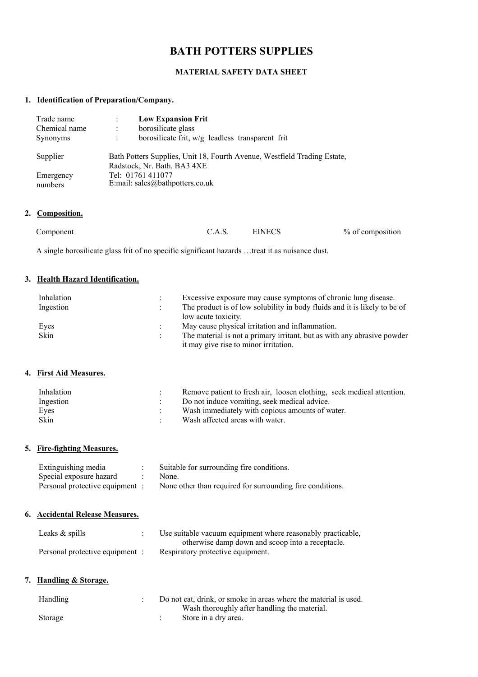# **BATH POTTERS SUPPLIES**

# **MATERIAL SAFETY DATA SHEET**

# **1. Identification of Preparation/Company.**

| Trade name           |                                                                                                         | <b>Low Expansion Frit</b>                          |  |
|----------------------|---------------------------------------------------------------------------------------------------------|----------------------------------------------------|--|
| Chemical name        | ÷                                                                                                       | borosilicate glass                                 |  |
| <b>Synonyms</b>      | ÷                                                                                                       | borosilicate frit, $w/g$ leadless transparent frit |  |
| Supplier             | Bath Potters Supplies, Unit 18, Fourth Avenue, Westfield Trading Estate,<br>Radstock, Nr. Bath. BA3 4XE |                                                    |  |
| Emergency<br>numbers | Tel: 01761 411077<br>E:mail: sales@bathpotters.co.uk                                                    |                                                    |  |

# **2. Composition.**

| Component | EINECS           |
|-----------|------------------|
| C.A.S.    | % of composition |

A single borosilicate glass frit of no specific significant hazards …treat it as nuisance dust.

# **3. Health Hazard Identification.**

| Inhalation<br>Ingestion | Excessive exposure may cause symptoms of chronic lung disease.<br>The product is of low solubility in body fluids and it is likely to be of |
|-------------------------|---------------------------------------------------------------------------------------------------------------------------------------------|
|                         | low acute toxicity.                                                                                                                         |
| Eyes                    | May cause physical irritation and inflammation.                                                                                             |
| Skin                    | The material is not a primary irritant, but as with any abrasive powder<br>it may give rise to minor irritation.                            |

# **4. First Aid Measures.**

| Inhalation | Remove patient to fresh air, loosen clothing, seek medical attention. |
|------------|-----------------------------------------------------------------------|
| Ingestion  | Do not induce vomiting, seek medical advice.                          |
| Eves       | Wash immediately with copious amounts of water.                       |
| Skin       | Wash affected areas with water.                                       |

# **5. Fire-fighting Measures.**

| Extinguishing media             | Suitable for surrounding fire conditions.                 |
|---------------------------------|-----------------------------------------------------------|
| Special exposure hazard         | None.                                                     |
| Personal protective equipment : | None other than required for surrounding fire conditions. |

# **6. Accidental Release Measures.**

| Leaks $&$ spills                | Use suitable vacuum equipment where reasonably practicable. |
|---------------------------------|-------------------------------------------------------------|
|                                 | otherwise damp down and scoop into a receptacle.            |
| Personal protective equipment : | Respiratory protective equipment.                           |

# **7. Handling & Storage.**

| Handling | Do not eat, drink, or smoke in areas where the material is used. |
|----------|------------------------------------------------------------------|
|          | Wash thoroughly after handling the material.                     |
| Storage  | Store in a dry area.                                             |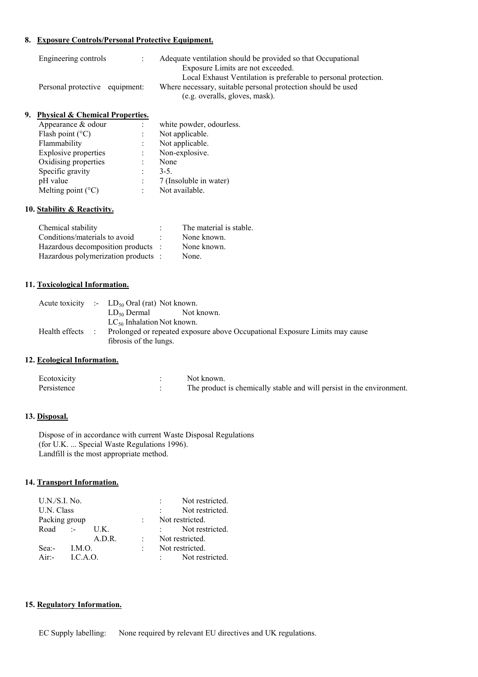## **8. Exposure Controls/Personal Protective Equipment.**

| Engineering controls           | Adequate ventilation should be provided so that Occupational                                   |
|--------------------------------|------------------------------------------------------------------------------------------------|
|                                | Exposure Limits are not exceeded.                                                              |
|                                | Local Exhaust Ventilation is preferable to personal protection.                                |
| Personal protective equipment: | Where necessary, suitable personal protection should be used<br>(e.g. overalls, gloves, mask). |

#### **9. Physical & Chemical Properties.**

| Appearance & odour          |                | white powder, odourless. |
|-----------------------------|----------------|--------------------------|
| Flash point $(^{\circ}C)$   | $\ddot{\cdot}$ | Not applicable.          |
| Flammability                |                | Not applicable.          |
| <b>Explosive properties</b> | ٠              | Non-explosive.           |
| Oxidising properties        | ٠              | None                     |
| Specific gravity            | ٠              | $3 - 5$ .                |
| pH value                    | $\ddot{\cdot}$ | 7 (Insoluble in water)   |
| Melting point $(^{\circ}C)$ |                | Not available.           |
|                             |                |                          |

# **10. Stability & Reactivity.**

| Chemical stability                  | The material is stable. |
|-------------------------------------|-------------------------|
| Conditions/materials to avoid       | None known.             |
| Hazardous decomposition products :  | None known.             |
| Hazardous polymerization products : | None.                   |

#### **11. Toxicological Information.**

|                | Acute toxicity :- $LD_{50}$ Oral (rat) Not known.                                                     |
|----------------|-------------------------------------------------------------------------------------------------------|
|                | $LD_{50}$ Dermal<br>Not known.                                                                        |
|                | $LC_{50}$ Inhalation Not known.                                                                       |
| Health effects | Prolonged or repeated exposure above Occupational Exposure Limits may cause<br>fibrosis of the lungs. |

# **12. Ecological Information.**

| Ecotoxicity | Not known.                                                            |
|-------------|-----------------------------------------------------------------------|
| Persistence | The product is chemically stable and will persist in the environment. |

# **13. Disposal.**

 Dispose of in accordance with current Waste Disposal Regulations (for U.K. ... Special Waste Regulations 1996). Landfill is the most appropriate method.

# **14. Transport Information.**

|            | $U.N./S.I.$ No. |        |           | Not restricted. |  |  |
|------------|-----------------|--------|-----------|-----------------|--|--|
| U.N. Class |                 |        |           | Not restricted. |  |  |
|            | Packing group   |        |           | Not restricted. |  |  |
| Road       | $\sim 10^{11}$  | U.K.   |           | Not restricted. |  |  |
|            |                 | A.D.R. |           | Not restricted. |  |  |
| Sea:-      | LM.O.           |        | $\bullet$ | Not restricted. |  |  |
| $Air -$    | LCA.O.          |        |           | Not restricted. |  |  |

# **15. Regulatory Information.**

EC Supply labelling: None required by relevant EU directives and UK regulations.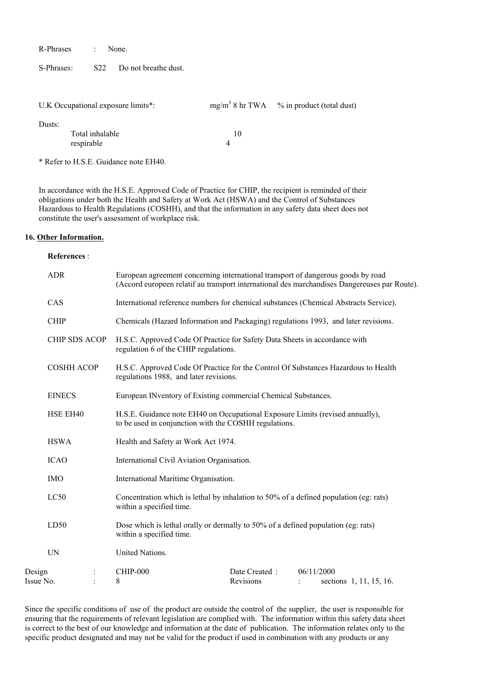R-Phrases : None.

S-Phrases: S22 Do not breathe dust.

|        | U.K Occupational exposure limits*: |    | $mg/m3$ 8 hr TWA $\%$ in product (total dust) |
|--------|------------------------------------|----|-----------------------------------------------|
| Dusts: | Total inhalable<br>respirable      | 10 |                                               |

\* Refer to H.S.E. Guidance note EH40.

 In accordance with the H.S.E. Approved Code of Practice for CHIP, the recipient is reminded of their obligations under both the Health and Safety at Work Act (HSWA) and the Control of Substances Hazardous to Health Regulations (COSHH), and that the information in any safety data sheet does not constitute the user's assessment of workplace risk.

#### **16. Other Information.**

#### **References** :

|                     | <b>ADR</b>           |                                                                                                                                        | European agreement concerning international transport of dangerous goods by road<br>(Accord europeen relatif au transport international des marchandises Dangereuses par Route). |                                                                                       |                         |  |  |
|---------------------|----------------------|----------------------------------------------------------------------------------------------------------------------------------------|----------------------------------------------------------------------------------------------------------------------------------------------------------------------------------|---------------------------------------------------------------------------------------|-------------------------|--|--|
|                     | CAS                  |                                                                                                                                        |                                                                                                                                                                                  | International reference numbers for chemical substances (Chemical Abstracts Service). |                         |  |  |
|                     | <b>CHIP</b>          | Chemicals (Hazard Information and Packaging) regulations 1993, and later revisions.                                                    |                                                                                                                                                                                  |                                                                                       |                         |  |  |
|                     | <b>CHIP SDS ACOP</b> | H.S.C. Approved Code Of Practice for Safety Data Sheets in accordance with<br>regulation 6 of the CHIP regulations.                    |                                                                                                                                                                                  |                                                                                       |                         |  |  |
|                     | <b>COSHH ACOP</b>    | H.S.C. Approved Code Of Practice for the Control Of Substances Hazardous to Health<br>regulations 1988, and later revisions.           |                                                                                                                                                                                  |                                                                                       |                         |  |  |
|                     | <b>EINECS</b>        | European INventory of Existing commercial Chemical Substances.                                                                         |                                                                                                                                                                                  |                                                                                       |                         |  |  |
|                     | HSE EH40             | H.S.E. Guidance note EH40 on Occupational Exposure Limits (revised annually),<br>to be used in conjunction with the COSHH regulations. |                                                                                                                                                                                  |                                                                                       |                         |  |  |
|                     | <b>HSWA</b>          | Health and Safety at Work Act 1974.                                                                                                    |                                                                                                                                                                                  |                                                                                       |                         |  |  |
|                     | <b>ICAO</b>          | International Civil Aviation Organisation.                                                                                             |                                                                                                                                                                                  |                                                                                       |                         |  |  |
|                     | <b>IMO</b>           | International Maritime Organisation.                                                                                                   |                                                                                                                                                                                  |                                                                                       |                         |  |  |
|                     | LC50                 | Concentration which is lethal by inhalation to 50% of a defined population (eg: rats)<br>within a specified time.                      |                                                                                                                                                                                  |                                                                                       |                         |  |  |
|                     | LD50                 | Dose which is lethal orally or dermally to 50% of a defined population (eg: rats)<br>within a specified time.                          |                                                                                                                                                                                  |                                                                                       |                         |  |  |
| UN                  |                      | United Nations.                                                                                                                        |                                                                                                                                                                                  |                                                                                       |                         |  |  |
| Design<br>Issue No. |                      | CHIP-000<br>8                                                                                                                          | Date Created:<br>Revisions                                                                                                                                                       | 06/11/2000                                                                            | sections 1, 11, 15, 16. |  |  |
|                     |                      |                                                                                                                                        |                                                                                                                                                                                  |                                                                                       |                         |  |  |

Since the specific conditions of use of the product are outside the control of the supplier, the user is responsible for ensuring that the requirements of relevant legislation are complied with. The information within this safety data sheet is correct to the best of our knowledge and information at the date of publication. The information relates only to the specific product designated and may not be valid for the product if used in combination with any products or any